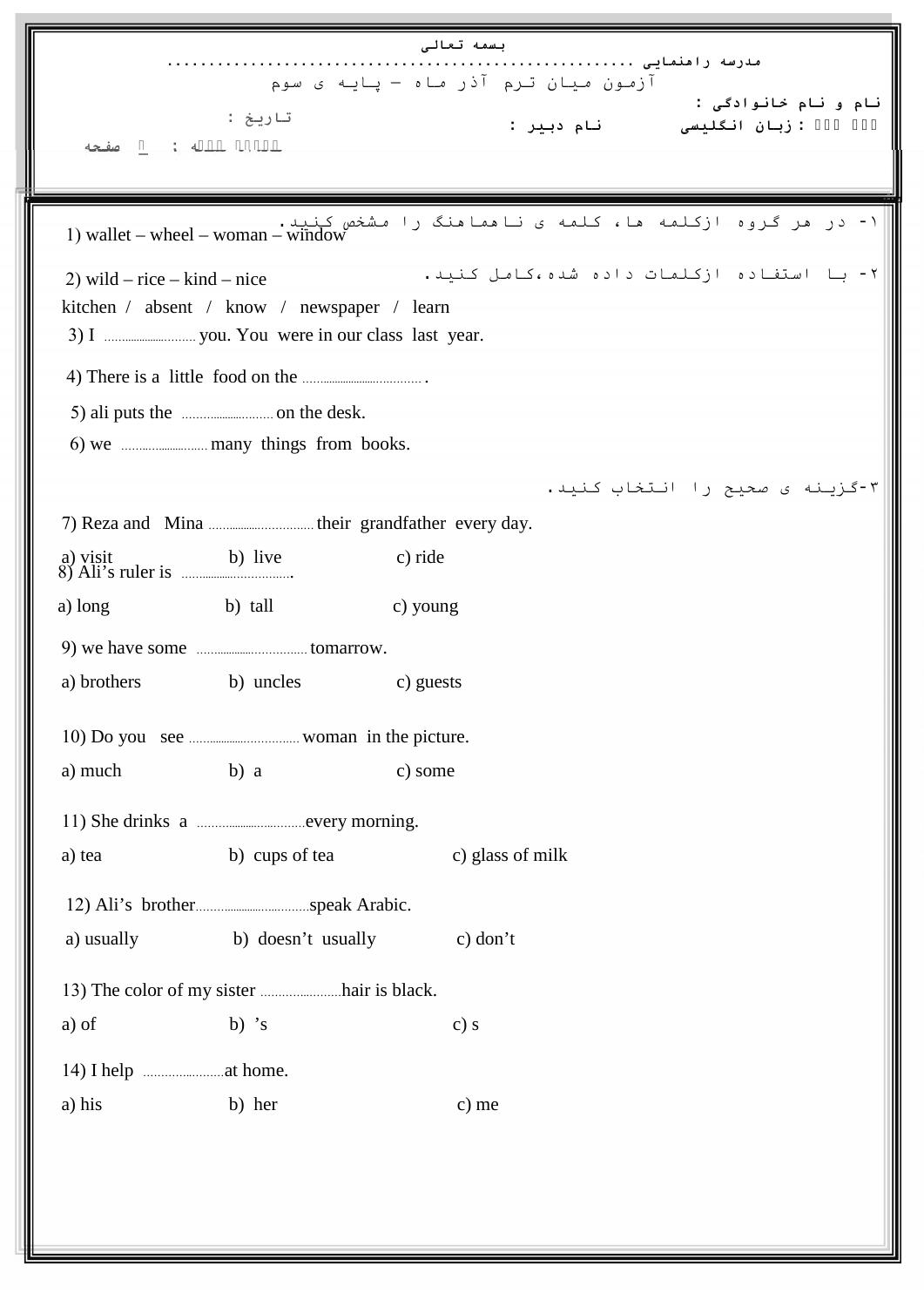|                                    |                                                                                              | بسمه تعالى<br>مدرسه رامنمایی              |  |
|------------------------------------|----------------------------------------------------------------------------------------------|-------------------------------------------|--|
|                                    |                                                                                              | آزمون میان ترم آذر ماه - پایه ی سوم       |  |
|                                    | تاريخ :                                                                                      | نام و نام خانوادگی :                      |  |
|                                    |                                                                                              | : زبان انگلیسی         نام دبیر :         |  |
|                                    |                                                                                              |                                           |  |
|                                    |                                                                                              |                                           |  |
|                                    | ۱- در مر گروه ازکلمه ما، کلمه ی ناممامنگ را مشخص کنید.<br>1) wallet – wheel – woman – window |                                           |  |
| 2) wild $-$ rice $-$ kind $-$ nice |                                                                                              | ۲- با استفاده ازکلمات داده شده،کامل کنید. |  |
|                                    | kitchen / absent / know / newspaper / learn                                                  |                                           |  |
|                                    |                                                                                              |                                           |  |
|                                    |                                                                                              |                                           |  |
|                                    | 5) ali puts the <i>manual</i> on the desk.                                                   |                                           |  |
|                                    | 6) we <i></i> many things from books.                                                        |                                           |  |
|                                    |                                                                                              | ۳-گزینه ی صحیح را انتخاب کنید.            |  |
|                                    |                                                                                              |                                           |  |
| a) visit                           | b) live                                                                                      | c) ride                                   |  |
| a) long                            | b) tall                                                                                      | c) young                                  |  |
|                                    |                                                                                              |                                           |  |
| a) brothers                        | b) uncles                                                                                    | c) guests                                 |  |
|                                    |                                                                                              |                                           |  |
| a) much                            | b) a                                                                                         | c) some                                   |  |
|                                    |                                                                                              |                                           |  |
| a) tea                             | b) cups of tea                                                                               | c) glass of milk                          |  |
|                                    |                                                                                              |                                           |  |
| a) usually                         | b) doesn't usually                                                                           | $c)$ don't                                |  |
|                                    |                                                                                              |                                           |  |
| a) of                              | b) $\dot{s}$                                                                                 | c) s                                      |  |
|                                    |                                                                                              |                                           |  |
| a) his                             | b) her                                                                                       | c) me                                     |  |
|                                    |                                                                                              |                                           |  |